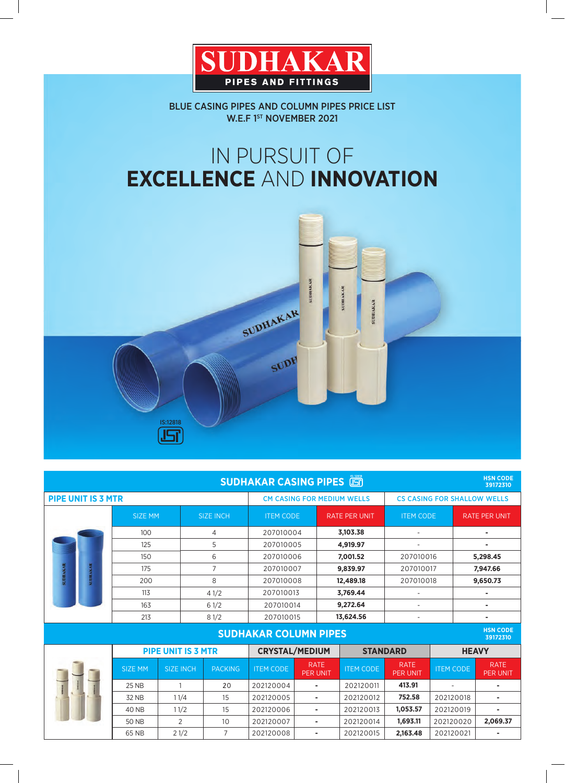

BLUE CASING PIPES AND COLUMN PIPES PRICE LIST W.E.F 1ST NOVEMBER 2021

# IN PURSUIT OF **EXCELLENCE** AND **INNOVATION**



| <b>HSN CODE</b><br><b>SUDHAKAR CASING PIPES</b><br>39172310 |                           |                  |                  |                                   |                                |                                      |                                    |                  |                                |  |  |  |
|-------------------------------------------------------------|---------------------------|------------------|------------------|-----------------------------------|--------------------------------|--------------------------------------|------------------------------------|------------------|--------------------------------|--|--|--|
| <b>PIPE UNIT IS 3 MTR</b>                                   |                           |                  |                  | <b>CM CASING FOR MEDIUM WELLS</b> |                                |                                      | <b>CS CASING FOR SHALLOW WELLS</b> |                  |                                |  |  |  |
|                                                             | <b>SIZE MM</b>            |                  | <b>SIZE INCH</b> | <b>ITEM CODE</b>                  |                                | <b>RATE PER UNIT</b>                 | <b>ITEM CODE</b>                   |                  | <b>RATE PER UNIT</b>           |  |  |  |
|                                                             | 100                       |                  | 4                | 207010004                         |                                | 3,103.38<br>$\overline{\phantom{a}}$ |                                    | $\blacksquare$   |                                |  |  |  |
| <b>SUDHAKAR</b><br><b>SUDHAKAR</b>                          | 125                       |                  | 5                | 207010005                         |                                | 4,919.97                             |                                    |                  |                                |  |  |  |
|                                                             | 150                       |                  | 6                | 207010006                         |                                | 7,001.52                             | 207010016                          |                  | 5,298.45                       |  |  |  |
|                                                             | 175                       |                  | $\overline{7}$   | 207010007                         |                                | 9,839.97                             | 207010017                          |                  | 7,947.66                       |  |  |  |
|                                                             | 200                       |                  | 8                | 207010008                         |                                | 12,489.18                            | 207010018                          |                  | 9,650.73                       |  |  |  |
|                                                             | 113                       |                  | 41/2             | 207010013                         |                                | 3,769.44                             |                                    |                  |                                |  |  |  |
|                                                             | 163                       |                  | 61/2             | 207010014                         |                                | 9,272.64<br>$\overline{a}$           |                                    | ٠                |                                |  |  |  |
|                                                             | 213                       |                  | 81/2             | 207010015                         |                                | 13,624.56                            |                                    |                  |                                |  |  |  |
| <b>HSN CODE</b><br><b>SUDHAKAR COLUMN PIPES</b><br>39172310 |                           |                  |                  |                                   |                                |                                      |                                    |                  |                                |  |  |  |
|                                                             | <b>PIPE UNIT IS 3 MTR</b> |                  |                  | <b>CRYSTAL/MEDIUM</b>             |                                | <b>STANDARD</b>                      |                                    | <b>HEAVY</b>     |                                |  |  |  |
|                                                             | <b>SIZE MM</b>            | <b>SIZE INCH</b> | <b>PACKING</b>   | <b>ITEM CODE</b>                  | <b>RATE</b><br><b>PER UNIT</b> | <b>ITEM CODE</b>                     | <b>RATE</b><br><b>PER UNIT</b>     | <b>ITEM CODE</b> | <b>RATE</b><br><b>PER UNIT</b> |  |  |  |
|                                                             | <b>25 NB</b>              | $\overline{1}$   | 20               | 202120004                         | $\sim$                         | 202120011                            | 413.91                             |                  |                                |  |  |  |
|                                                             | 32 NB                     | 11/4             | 15               | 202120005                         | ٠                              | 202120012                            | 752.58                             | 202120018        | ٠                              |  |  |  |
|                                                             | <b>40 NB</b>              | 11/2             | 15               | 202120006                         | $\sim$                         | 202120013                            | 1,053.57                           | 202120019        | ٠                              |  |  |  |
|                                                             | <b>50 NB</b>              | $\overline{2}$   | 10               | 202120007                         | $\sim$                         | 202120014                            | 1,693.11                           | 202120020        | 2,069.37                       |  |  |  |
|                                                             | 65 NB                     | 21/2             | 7                | 202120008                         |                                | 202120015                            | 2,163.48                           | 202120021        |                                |  |  |  |